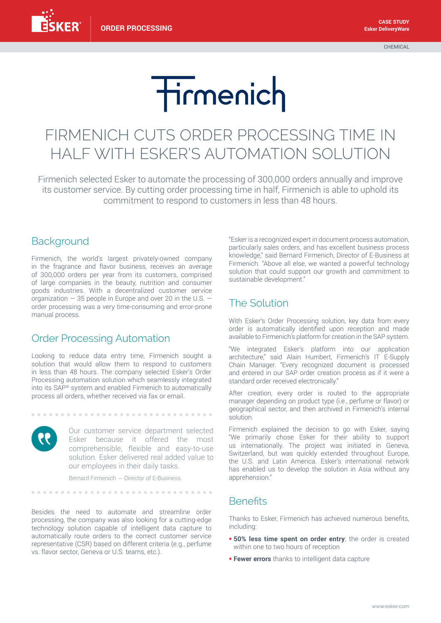**CHEMICAL** 

# Tirmenich

## FIRMENICH CUTS ORDER PROCESSING TIME IN HALF WITH ESKER'S AUTOMATION SOLUTION

Firmenich selected Esker to automate the processing of 300,000 orders annually and improve its customer service. By cutting order processing time in half, Firmenich is able to uphold its commitment to respond to customers in less than 48 hours.

### **Background**

Firmenich, the world's largest privately-owned company in the fragrance and flavor business, receives an average of 300,000 orders per year from its customers, comprised of large companies in the beauty, nutrition and consumer goods industries. With a decentralized customer service organization  $-35$  people in Europe and over 20 in the U.S.  $$ order processing was a very time-consuming and error-prone manual process.

#### Order Processing Automation

Looking to reduce data entry time, Firmenich sought a solution that would allow them to respond to customers in less than 48 hours. The company selected Esker's Order Processing automation solution which seamlessly integrated into its SAP® system and enabled Firmenich to automatically process all orders, whether received via fax or email.



Our customer service department selected Esker because it offered the most comprehensible, flexible and easy-to-use solution. Esker delivered real added value to our employees in their daily tasks.

Bernard Firmenich — Director of E-Business

..............................

Besides the need to automate and streamline order processing, the company was also looking for a cutting-edge technology solution capable of intelligent data capture to automatically route orders to the correct customer service representative (CSR) based on different criteria (e.g., perfume vs. flavor sector, Geneva or U.S. teams, etc.).

"Esker is a recognized expert in document process automation, particularly sales orders, and has excellent business process knowledge," said Bernard Firmenich, Director of E-Business at Firmenich. "Above all else, we wanted a powerful technology solution that could support our growth and commitment to sustainable development."

#### The Solution

With Esker's Order Processing solution, key data from every order is automatically identified upon reception and made available to Firmenich's platform for creation in the SAP system.

"We integrated Esker's platform into our application architecture," said Alain Humbert, Firmenich's IT E-Supply Chain Manager. "Every recognized document is processed and entered in our SAP order creation process as if it were a standard order received electronically."

After creation, every order is routed to the appropriate manager depending on product type (i.e., perfume or flavor) or geographical sector, and then archived in Firmenich's internal solution.

Firmenich explained the decision to go with Esker, saying "We primarily chose Esker for their ability to support us internationally. The project was initiated in Geneva, Switzerland, but was quickly extended throughout Europe, the U.S. and Latin America. Esker's international network has enabled us to develop the solution in Asia without any apprehension."

### **Benefits**

Thanks to Esker, Firmenich has achieved numerous benefits, including:

- **= 50% less time spent on order entry**; the order is created within one to two hours of reception
- **Fewer errors** thanks to intelligent data capture